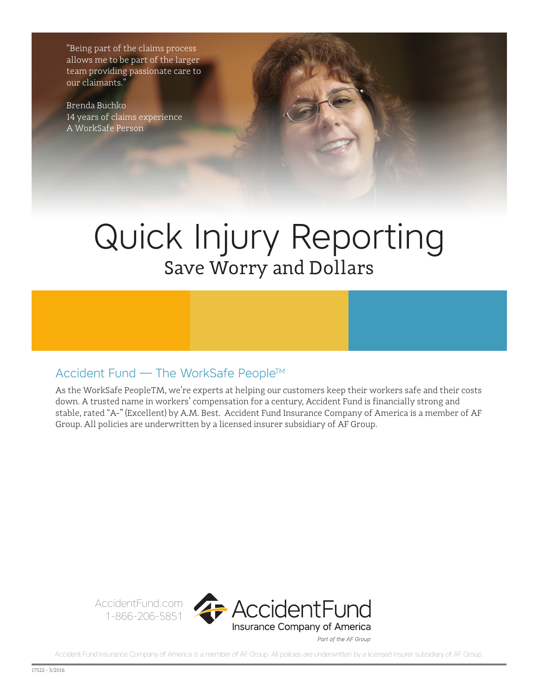"Being part of the claims process allows me to be part of the larger team providing passionate care to our claimants."

Brenda Buchko 14 years of claims experience A WorkSafe Person

# Quick Injury Reporting Save Worry and Dollars

## Accident Fund – The WorkSafe People™

As the WorkSafe People™, we're experts at helping our customers keep their workers safe and their costs down. A trusted name in workers' compensation for a century, Accident Fund is financially strong and stable, rated "A-" (Excellent) by A.M. Best. Accident Fund Insurance Company of America is a member of AF Group. All policies are underwritten by a licensed insurer subsidiary of AF Group.



Part of the AF Group

Accident Fund Insurance Company of America is a member of AF Group. All policies are underwritten by a licensed insurer subsidiary of AF Group.